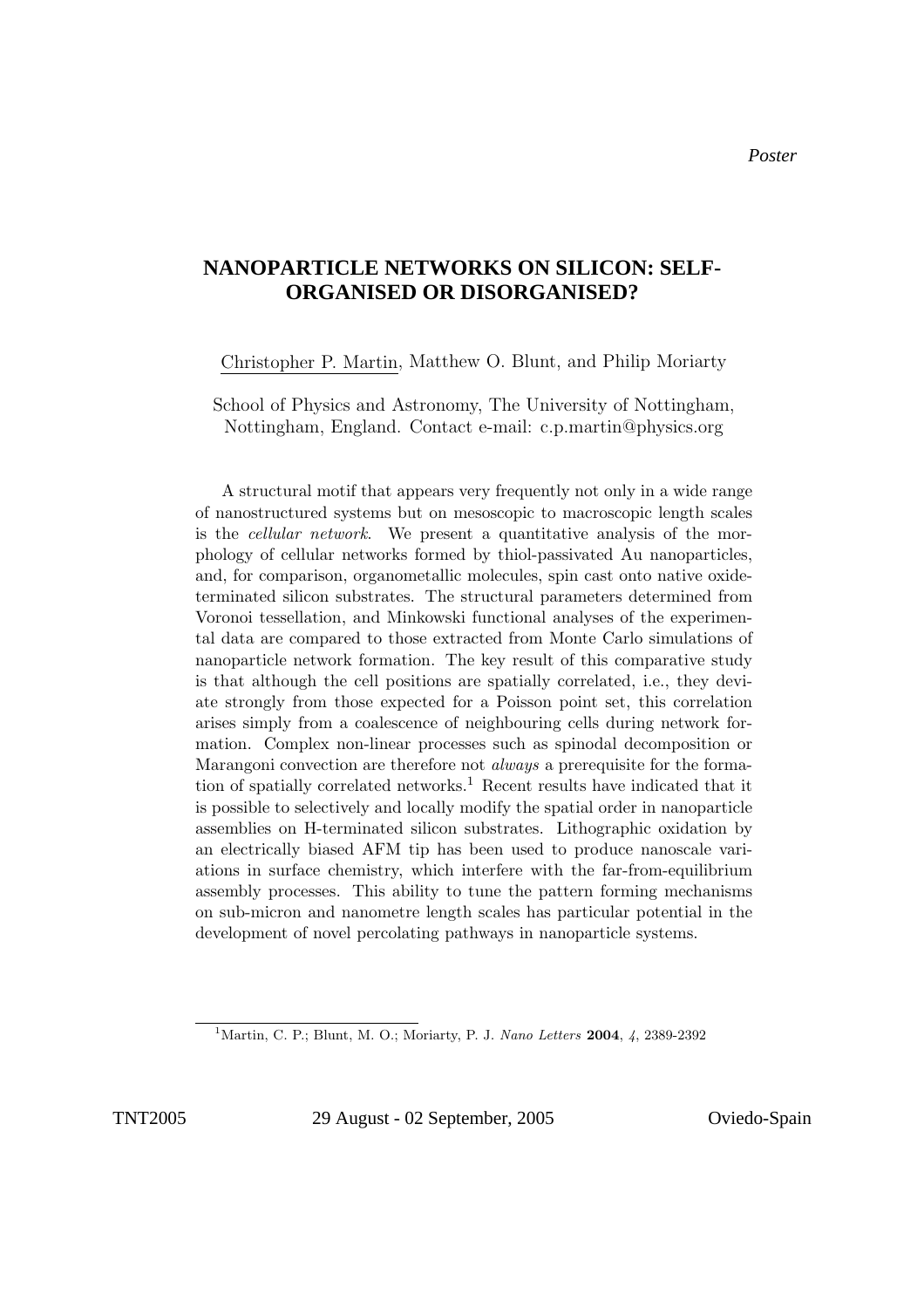## Nanoparticle networks on silicon: Self-organised or **NANOPARTICLE NETWORKS ON SILICON: SELF-** $\overline{\phantom{a}}$ **ORGANISED OR DISORGANISED?**

Christopher P. Martin, Matthew O. Blunt, and Philip Moriarty

School of Physics and Astronomy, The University of Nottingham, Nottingham, England. Contact e-mail: c.p.martin@physics.org

A structural motif that appears very frequently not only in a wide range of nanostructured systems but on mesoscopic to macroscopic length scales is the cellular network. We present a quantitative analysis of the morphology of cellular networks formed by thiol-passivated Au nanoparticles, and, for comparison, organometallic molecules, spin cast onto native oxideterminated silicon substrates. The structural parameters determined from Voronoi tessellation, and Minkowski functional analyses of the experimental data are compared to those extracted from Monte Carlo simulations of nanoparticle network formation. The key result of this comparative study is that although the cell positions are spatially correlated, i.e., they deviate strongly from those expected for a Poisson point set, this correlation arises simply from a coalescence of neighbouring cells during network formation. Complex non-linear processes such as spinodal decomposition or Marangoni convection are therefore not always a prerequisite for the formation of spatially correlated networks.<sup>1</sup> Recent results have indicated that it is possible to selectively and locally modify the spatial order in nanoparticle assemblies on H-terminated silicon substrates. Lithographic oxidation by an electrically biased AFM tip has been used to produce nanoscale variations in surface chemistry, which interfere with the far-from-equilibrium assembly processes. This ability to tune the pattern forming mechanisms on sub-micron and nanometre length scales has particular potential in the development of novel percolating pathways in nanoparticle systems.

TNT2005 29 August - 02 September, 2005 Oviedo-Spain

<sup>&</sup>lt;sup>1</sup>Martin, C. P.; Blunt, M. O.; Moriarty, P. J. Nano Letters 2004, 4, 2389-2392